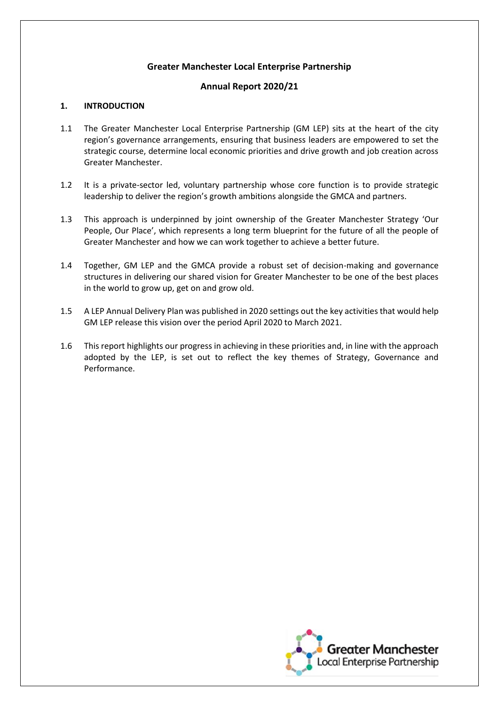## **Greater Manchester Local Enterprise Partnership**

### **Annual Report 2020/21**

#### **1. INTRODUCTION**

- 1.1 The Greater Manchester Local Enterprise Partnership (GM LEP) sits at the heart of the city region's governance arrangements, ensuring that business leaders are empowered to set the strategic course, determine local economic priorities and drive growth and job creation across Greater Manchester.
- 1.2 It is a private-sector led, voluntary partnership whose core function is to provide strategic leadership to deliver the region's growth ambitions alongside the GMCA and partners.
- 1.3 This approach is underpinned by joint ownership of the Greater Manchester Strategy 'Our People, Our Place', which represents a long term blueprint for the future of all the people of Greater Manchester and how we can work together to achieve a better future.
- 1.4 Together, GM LEP and the GMCA provide a robust set of decision-making and governance structures in delivering our shared vision for Greater Manchester to be one of the best places in the world to grow up, get on and grow old.
- 1.5 A LEP Annual Delivery Plan was published in 2020 settings out the key activities that would help GM LEP release this vision over the period April 2020 to March 2021.
- 1.6 This report highlights our progress in achieving in these priorities and, in line with the approach adopted by the LEP, is set out to reflect the key themes of Strategy, Governance and Performance.

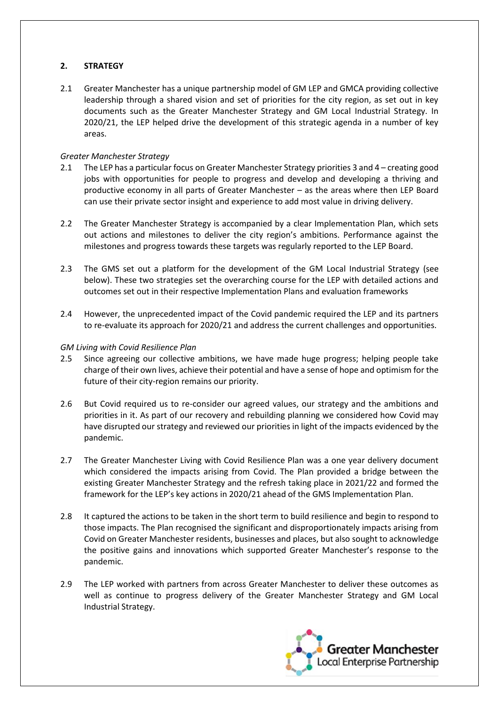## **2. STRATEGY**

2.1 Greater Manchester has a unique partnership model of GM LEP and GMCA providing collective leadership through a shared vision and set of priorities for the city region, as set out in key documents such as the Greater Manchester Strategy and GM Local Industrial Strategy. In 2020/21, the LEP helped drive the development of this strategic agenda in a number of key areas.

## *Greater Manchester Strategy*

- 2.1 The LEP has a particular focus on Greater Manchester Strategy priorities 3 and 4 creating good jobs with opportunities for people to progress and develop and developing a thriving and productive economy in all parts of Greater Manchester – as the areas where then LEP Board can use their private sector insight and experience to add most value in driving delivery.
- 2.2 The Greater Manchester Strategy is accompanied by a clear Implementation Plan, which sets out actions and milestones to deliver the city region's ambitions. Performance against the milestones and progress towards these targets was regularly reported to the LEP Board.
- 2.3 The GMS set out a platform for the development of the GM Local Industrial Strategy (see below). These two strategies set the overarching course for the LEP with detailed actions and outcomes set out in their respective Implementation Plans and evaluation frameworks
- 2.4 However, the unprecedented impact of the Covid pandemic required the LEP and its partners to re-evaluate its approach for 2020/21 and address the current challenges and opportunities.

### *GM Living with Covid Resilience Plan*

- 2.5 Since agreeing our collective ambitions, we have made huge progress; helping people take charge of their own lives, achieve their potential and have a sense of hope and optimism for the future of their city-region remains our priority.
- 2.6 But Covid required us to re-consider our agreed values, our strategy and the ambitions and priorities in it. As part of our recovery and rebuilding planning we considered how Covid may have disrupted our strategy and reviewed our priorities in light of the impacts evidenced by the pandemic.
- 2.7 The Greater Manchester Living with Covid Resilience Plan was a one year delivery document which considered the impacts arising from Covid. The Plan provided a bridge between the existing Greater Manchester Strategy and the refresh taking place in 2021/22 and formed the framework for the LEP's key actions in 2020/21 ahead of the GMS Implementation Plan.
- 2.8 It captured the actions to be taken in the short term to build resilience and begin to respond to those impacts. The Plan recognised the significant and disproportionately impacts arising from Covid on Greater Manchester residents, businesses and places, but also sought to acknowledge the positive gains and innovations which supported Greater Manchester's response to the pandemic.
- 2.9 The LEP worked with partners from across Greater Manchester to deliver these outcomes as well as continue to progress delivery of the Greater Manchester Strategy and GM Local Industrial Strategy.

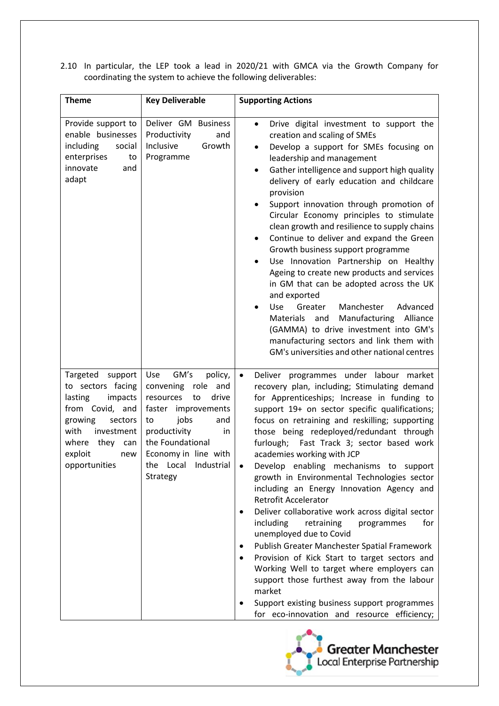2.10 In particular, the LEP took a lead in 2020/21 with GMCA via the Growth Company for coordinating the system to achieve the following deliverables:

| <b>Theme</b>                                                                                                                                                                          | <b>Key Deliverable</b>                                                                                                                                                                                                           | <b>Supporting Actions</b>                                                                                                                                                                                                                                                                                                                                                                                                                                                                                                                                                                                                                                                                                                                                                                                                                                                                                                                                                                        |
|---------------------------------------------------------------------------------------------------------------------------------------------------------------------------------------|----------------------------------------------------------------------------------------------------------------------------------------------------------------------------------------------------------------------------------|--------------------------------------------------------------------------------------------------------------------------------------------------------------------------------------------------------------------------------------------------------------------------------------------------------------------------------------------------------------------------------------------------------------------------------------------------------------------------------------------------------------------------------------------------------------------------------------------------------------------------------------------------------------------------------------------------------------------------------------------------------------------------------------------------------------------------------------------------------------------------------------------------------------------------------------------------------------------------------------------------|
| Provide support to<br>enable businesses<br>including<br>social<br>enterprises<br>to<br>innovate<br>and<br>adapt                                                                       | Deliver GM Business<br>Productivity<br>and<br>Inclusive<br>Growth<br>Programme                                                                                                                                                   | Drive digital investment to support the<br>$\bullet$<br>creation and scaling of SMEs<br>Develop a support for SMEs focusing on<br>$\bullet$<br>leadership and management<br>Gather intelligence and support high quality<br>$\bullet$<br>delivery of early education and childcare<br>provision<br>Support innovation through promotion of<br>$\bullet$<br>Circular Economy principles to stimulate<br>clean growth and resilience to supply chains<br>Continue to deliver and expand the Green<br>$\bullet$<br>Growth business support programme<br>Use Innovation Partnership on Healthy<br>Ageing to create new products and services<br>in GM that can be adopted across the UK<br>and exported<br>Manchester<br>Greater<br>Advanced<br><b>Use</b><br>Manufacturing<br>Alliance<br>Materials<br>and<br>(GAMMA) to drive investment into GM's<br>manufacturing sectors and link them with<br>GM's universities and other national centres                                                     |
| Targeted support<br>to sectors facing<br>lasting<br>impacts<br>from Covid, and<br>growing<br>sectors<br>with<br>investment<br>where<br>they<br>can<br>exploit<br>new<br>opportunities | GM's<br>policy,<br>Use<br>convening role<br>and<br>drive<br>resources<br>to<br>faster<br>improvements<br>jobs<br>and<br>to<br>productivity<br>in<br>the Foundational<br>Economy in line with<br>the Local Industrial<br>Strategy | Deliver programmes under labour market<br>$\bullet$<br>recovery plan, including; Stimulating demand<br>for Apprenticeships; Increase in funding to<br>support 19+ on sector specific qualifications;<br>focus on retraining and reskilling; supporting<br>those being redeployed/redundant through<br>Fast Track 3; sector based work<br>furlough;<br>academies working with JCP<br>Develop enabling mechanisms to support<br>growth in Environmental Technologies sector<br>including an Energy Innovation Agency and<br><b>Retrofit Accelerator</b><br>Deliver collaborative work across digital sector<br>including<br>for<br>retraining<br>programmes<br>unemployed due to Covid<br>Publish Greater Manchester Spatial Framework<br>Provision of Kick Start to target sectors and<br>٠<br>Working Well to target where employers can<br>support those furthest away from the labour<br>market<br>Support existing business support programmes<br>for eco-innovation and resource efficiency; |

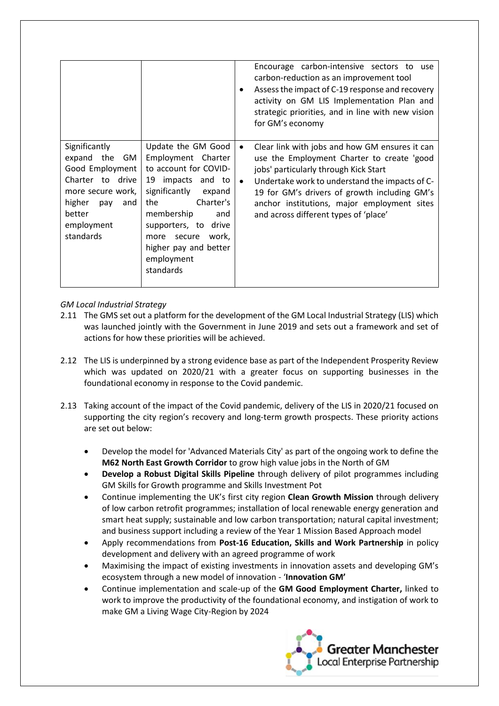|                                                                                                                                                             |                                                                                                                                                                                                                                                                      | ٠                      | Encourage carbon-intensive sectors to use<br>carbon-reduction as an improvement tool<br>Assess the impact of C-19 response and recovery<br>activity on GM LIS Implementation Plan and<br>strategic priorities, and in line with new vision<br>for GM's economy                                                                  |
|-------------------------------------------------------------------------------------------------------------------------------------------------------------|----------------------------------------------------------------------------------------------------------------------------------------------------------------------------------------------------------------------------------------------------------------------|------------------------|---------------------------------------------------------------------------------------------------------------------------------------------------------------------------------------------------------------------------------------------------------------------------------------------------------------------------------|
| Significantly<br>expand the<br>GM.<br>Good Employment<br>Charter to drive<br>more secure work,<br>higher<br>and<br>pay<br>better<br>employment<br>standards | Update the GM Good<br>Employment Charter<br>to account for COVID-<br>19 impacts and to<br>significantly<br>expand<br>Charter's<br>the<br>membership<br>and<br>supporters, to<br>drive<br>work,<br>secure<br>more<br>higher pay and better<br>employment<br>standards | $\bullet$<br>$\bullet$ | Clear link with jobs and how GM ensures it can<br>use the Employment Charter to create 'good<br>jobs' particularly through Kick Start<br>Undertake work to understand the impacts of C-<br>19 for GM's drivers of growth including GM's<br>anchor institutions, major employment sites<br>and across different types of 'place' |

## *GM Local Industrial Strategy*

- 2.11 The GMS set out a platform for the development of the GM Local Industrial Strategy (LIS) which was launched jointly with the Government in June 2019 and sets out a framework and set of actions for how these priorities will be achieved.
- 2.12 The LIS is underpinned by a strong evidence base as part of the Independent Prosperity Review which was updated on 2020/21 with a greater focus on supporting businesses in the foundational economy in response to the Covid pandemic.
- 2.13 Taking account of the impact of the Covid pandemic, delivery of the LIS in 2020/21 focused on supporting the city region's recovery and long-term growth prospects. These priority actions are set out below:
	- Develop the model for 'Advanced Materials City' as part of the ongoing work to define the **M62 North East Growth Corridor** to grow high value jobs in the North of GM
	- **Develop a Robust Digital Skills Pipeline** through delivery of pilot programmes including GM Skills for Growth programme and Skills Investment Pot
	- Continue implementing the UK's first city region **Clean Growth Mission** through delivery of low carbon retrofit programmes; installation of local renewable energy generation and smart heat supply; sustainable and low carbon transportation; natural capital investment; and business support including a review of the Year 1 Mission Based Approach model
	- Apply recommendations from **Post-16 Education, Skills and Work Partnership** in policy development and delivery with an agreed programme of work
	- Maximising the impact of existing investments in innovation assets and developing GM's ecosystem through a new model of innovation - '**Innovation GM'**
	- Continue implementation and scale-up of the **GM Good Employment Charter,** linked to work to improve the productivity of the foundational economy, and instigation of work to make GM a Living Wage City-Region by 2024

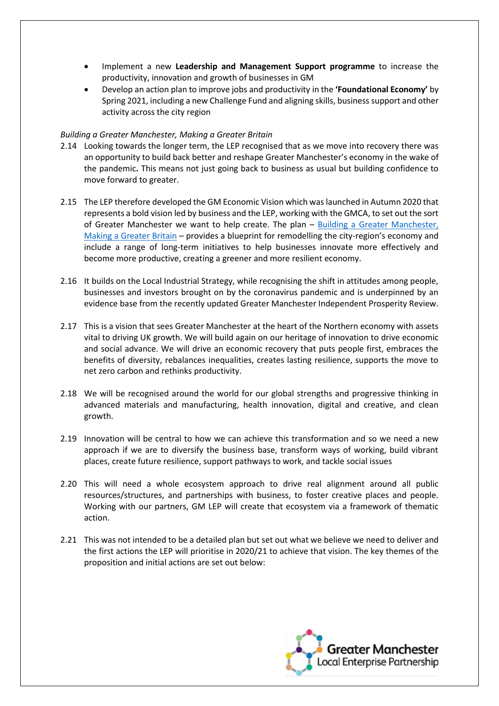- Implement a new **Leadership and Management Support programme** to increase the productivity, innovation and growth of businesses in GM
- Develop an action plan to improve jobs and productivity in the **'Foundational Economy'** by Spring 2021, including a new Challenge Fund and aligning skills, business support and other activity across the city region

### *Building a Greater Manchester, Making a Greater Britain*

- 2.14 Looking towards the longer term, the LEP recognised that as we move into recovery there was an opportunity to build back better and reshape Greater Manchester's economy in the wake of the pandemic**.** This means not just going back to business as usual but building confidence to move forward to greater.
- 2.15 The LEP therefore developed the GM Economic Vision which was launched in Autumn 2020 that represents a bold vision led by business and the LEP, working with the GMCA, to set out the sort of Greater Manchester we want to help create. The plan – [Building a Greater Manchester,](http://gmlep.com/wp-content/uploads/2020/11/GM-LEP-Economic-Vision.pdf)  [Making a Greater Britain](http://gmlep.com/wp-content/uploads/2020/11/GM-LEP-Economic-Vision.pdf) – provides a blueprint for remodelling the city-region's economy and include a range of long-term initiatives to help businesses innovate more effectively and become more productive, creating a greener and more resilient economy.
- 2.16 It builds on the Local Industrial Strategy, while recognising the shift in attitudes among people, businesses and investors brought on by the coronavirus pandemic and is underpinned by an evidence base from the recently updated Greater Manchester Independent Prosperity Review.
- 2.17 This is a vision that sees Greater Manchester at the heart of the Northern economy with assets vital to driving UK growth. We will build again on our heritage of innovation to drive economic and social advance. We will drive an economic recovery that puts people first, embraces the benefits of diversity, rebalances inequalities, creates lasting resilience, supports the move to net zero carbon and rethinks productivity.
- 2.18 We will be recognised around the world for our global strengths and progressive thinking in advanced materials and manufacturing, health innovation, digital and creative, and clean growth.
- 2.19 Innovation will be central to how we can achieve this transformation and so we need a new approach if we are to diversify the business base, transform ways of working, build vibrant places, create future resilience, support pathways to work, and tackle social issues
- 2.20 This will need a whole ecosystem approach to drive real alignment around all public resources/structures, and partnerships with business, to foster creative places and people. Working with our partners, GM LEP will create that ecosystem via a framework of thematic action.
- 2.21 This was not intended to be a detailed plan but set out what we believe we need to deliver and the first actions the LEP will prioritise in 2020/21 to achieve that vision. The key themes of the proposition and initial actions are set out below:

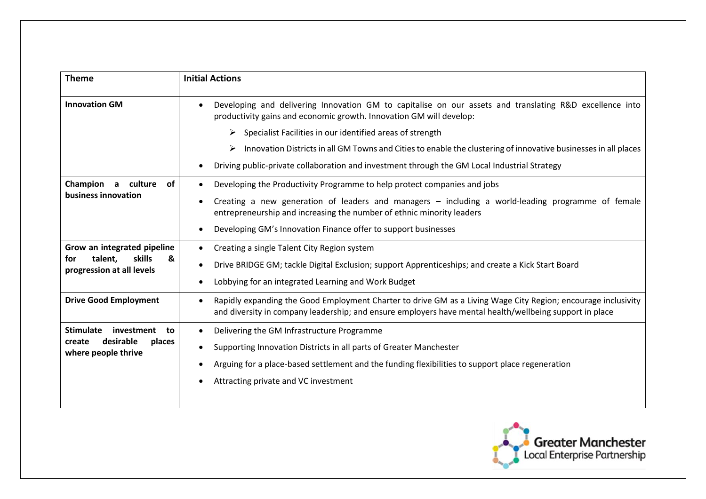| <b>Theme</b>                                                                                 | <b>Initial Actions</b>                                                                                                                                                                                                                |
|----------------------------------------------------------------------------------------------|---------------------------------------------------------------------------------------------------------------------------------------------------------------------------------------------------------------------------------------|
| <b>Innovation GM</b>                                                                         | Developing and delivering Innovation GM to capitalise on our assets and translating R&D excellence into<br>productivity gains and economic growth. Innovation GM will develop:                                                        |
|                                                                                              | Specialist Facilities in our identified areas of strength<br>➤                                                                                                                                                                        |
|                                                                                              | Innovation Districts in all GM Towns and Cities to enable the clustering of innovative businesses in all places<br>➤                                                                                                                  |
|                                                                                              | Driving public-private collaboration and investment through the GM Local Industrial Strategy                                                                                                                                          |
| Champion a culture<br>0f                                                                     | Developing the Productivity Programme to help protect companies and jobs                                                                                                                                                              |
| business innovation                                                                          | Creating a new generation of leaders and managers - including a world-leading programme of female<br>entrepreneurship and increasing the number of ethnic minority leaders                                                            |
|                                                                                              | Developing GM's Innovation Finance offer to support businesses                                                                                                                                                                        |
| Grow an integrated pipeline                                                                  | Creating a single Talent City Region system                                                                                                                                                                                           |
| skills<br>talent.<br>&<br>for<br>progression at all levels                                   | Drive BRIDGE GM; tackle Digital Exclusion; support Apprenticeships; and create a Kick Start Board                                                                                                                                     |
|                                                                                              | Lobbying for an integrated Learning and Work Budget                                                                                                                                                                                   |
| <b>Drive Good Employment</b>                                                                 | Rapidly expanding the Good Employment Charter to drive GM as a Living Wage City Region; encourage inclusivity<br>$\bullet$<br>and diversity in company leadership; and ensure employers have mental health/wellbeing support in place |
| <b>Stimulate</b><br>investment<br>to<br>desirable<br>create<br>places<br>where people thrive | Delivering the GM Infrastructure Programme                                                                                                                                                                                            |
|                                                                                              | Supporting Innovation Districts in all parts of Greater Manchester                                                                                                                                                                    |
|                                                                                              | Arguing for a place-based settlement and the funding flexibilities to support place regeneration                                                                                                                                      |
|                                                                                              | Attracting private and VC investment                                                                                                                                                                                                  |
|                                                                                              |                                                                                                                                                                                                                                       |

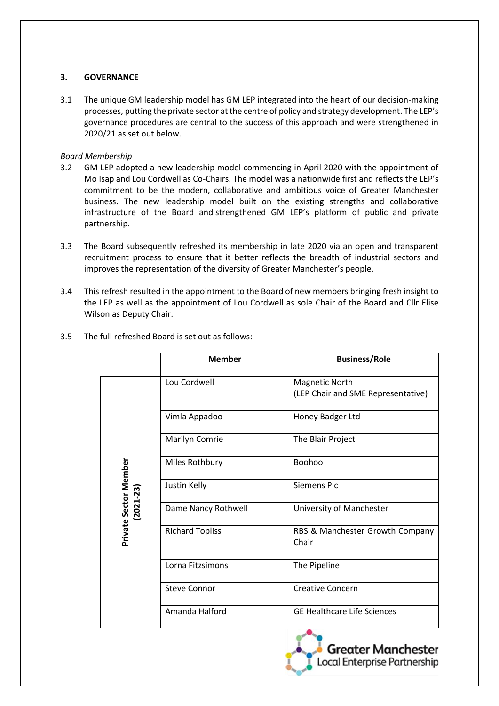## **3. GOVERNANCE**

3.1 The unique GM leadership model has GM LEP integrated into the heart of our decision-making processes, putting the private sector at the centre of policy and strategy development. The LEP's governance procedures are central to the success of this approach and were strengthened in 2020/21 as set out below.

### *Board Membership*

- 3.2 GM LEP adopted a new leadership model commencing in April 2020 with the appointment of Mo Isap and Lou Cordwell as Co-Chairs. The model was a nationwide first and reflects the LEP's commitment to be the modern, collaborative and ambitious voice of Greater Manchester business. The new leadership model built on the existing strengths and collaborative infrastructure of the Board and strengthened GM LEP's platform of public and private partnership.
- 3.3 The Board subsequently refreshed its membership in late 2020 via an open and transparent recruitment process to ensure that it better reflects the breadth of industrial sectors and improves the representation of the diversity of Greater Manchester's people.
- 3.4 This refresh resulted in the appointment to the Board of new members bringing fresh insight to the LEP as well as the appointment of Lou Cordwell as sole Chair of the Board and Cllr Elise Wilson as Deputy Chair.

|                       | <b>Member</b>          | <b>Business/Role</b>                                        |
|-----------------------|------------------------|-------------------------------------------------------------|
|                       | Lou Cordwell           | <b>Magnetic North</b><br>(LEP Chair and SME Representative) |
|                       | Vimla Appadoo          | Honey Badger Ltd                                            |
|                       | Marilyn Comrie         | The Blair Project                                           |
|                       | Miles Rothbury         | Boohoo                                                      |
| Private Sector Member | Justin Kelly           | <b>Siemens Plc</b>                                          |
| 2021-23)              | Dame Nancy Rothwell    | University of Manchester                                    |
|                       | <b>Richard Topliss</b> | RBS & Manchester Growth Company<br>Chair                    |
|                       | Lorna Fitzsimons       | The Pipeline                                                |
|                       | <b>Steve Connor</b>    | <b>Creative Concern</b>                                     |
|                       | Amanda Halford         | <b>GE Healthcare Life Sciences</b>                          |

3.5 The full refreshed Board is set out as follows:

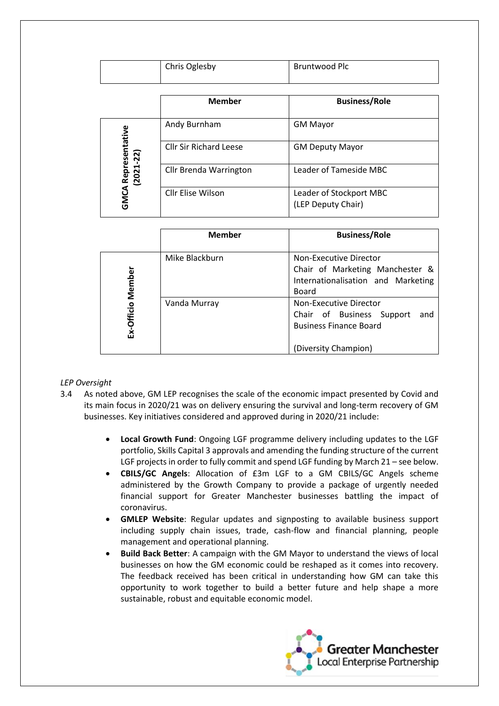| Chris Oglesby | Bruntwood Plc |
|---------------|---------------|
|               |               |

|                               | <b>Member</b>                 | <b>Business/Role</b>                          |
|-------------------------------|-------------------------------|-----------------------------------------------|
|                               | Andy Burnham                  | <b>GM Mayor</b>                               |
| A Representative<br>(2021-22) | <b>Cllr Sir Richard Leese</b> | <b>GM Deputy Mayor</b>                        |
|                               | Cllr Brenda Warrington        | Leader of Tameside MBC                        |
| GMCA                          | Cllr Elise Wilson             | Leader of Stockport MBC<br>(LEP Deputy Chair) |

|            | <b>Member</b>  | <b>Business/Role</b>                                                                                                |
|------------|----------------|---------------------------------------------------------------------------------------------------------------------|
| Member     | Mike Blackburn | Non-Executive Director<br>Chair of Marketing Manchester &<br>Internationalisation and Marketing<br>Board            |
| Ex-Officio | Vanda Murray   | Non-Executive Director<br>Chair of Business Support<br>and<br><b>Business Finance Board</b><br>(Diversity Champion) |

#### *LEP Oversight*

- 3.4 As noted above, GM LEP recognises the scale of the economic impact presented by Covid and its main focus in 2020/21 was on delivery ensuring the survival and long-term recovery of GM businesses. Key initiatives considered and approved during in 2020/21 include:
	- **Local Growth Fund**: Ongoing LGF programme delivery including updates to the LGF portfolio, Skills Capital 3 approvals and amending the funding structure of the current LGF projects in order to fully commit and spend LGF funding by March 21 – see below.
	- **CBILS/GC Angels**: Allocation of £3m LGF to a GM CBILS/GC Angels scheme administered by the Growth Company to provide a package of urgently needed financial support for Greater Manchester businesses battling the impact of coronavirus.
	- **GMLEP Website**: Regular updates and signposting to available business support including supply chain issues, trade, cash-flow and financial planning, people management and operational planning.
	- **Build Back Better**: A campaign with the GM Mayor to understand the views of local businesses on how the GM economic could be reshaped as it comes into recovery. The feedback received has been critical in understanding how GM can take this opportunity to work together to build a better future and help shape a more sustainable, robust and equitable economic model.

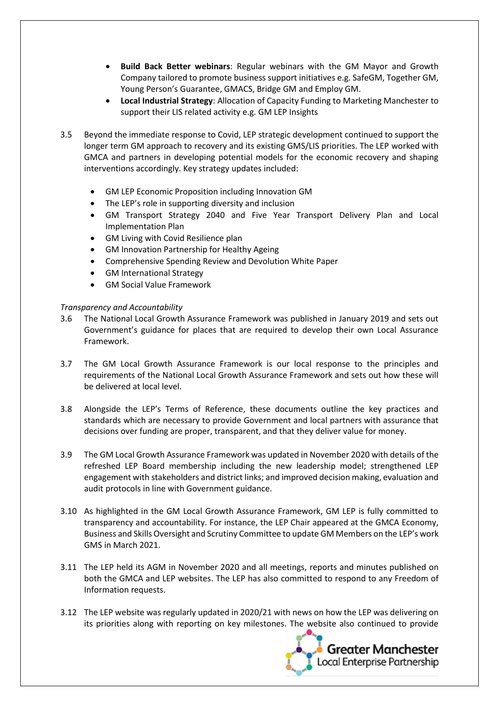- **Build Back Better webinars**: Regular webinars with the GM Mayor and Growth Company tailored to promote business support initiatives e.g. SafeGM, Together GM, Young Person's Guarantee, GMACS, Bridge GM and Employ GM.
- **Local Industrial Strategy**: Allocation of Capacity Funding to Marketing Manchester to support their LIS related activity e.g. GM LEP Insights
- 3.5 Beyond the immediate response to Covid, LEP strategic development continued to support the longer term GM approach to recovery and its existing GMS/LIS priorities. The LEP worked with GMCA and partners in developing potential models for the economic recovery and shaping interventions accordingly. Key strategy updates included:
	- GM LEP Economic Proposition including Innovation GM
	- The LEP's role in supporting diversity and inclusion
	- GM Transport Strategy 2040 and Five Year Transport Delivery Plan and Local Implementation Plan
	- GM Living with Covid Resilience plan
	- GM Innovation Partnership for Healthy Ageing
	- Comprehensive Spending Review and Devolution White Paper
	- GM International Strategy
	- GM Social Value Framework

### *Transparency and Accountability*

- 3.6 The National Local Growth Assurance Framework was published in January 2019 and sets out Government's guidance for places that are required to develop their own Local Assurance Framework.
- 3.7 The GM Local Growth Assurance Framework is our local response to the principles and requirements of the National Local Growth Assurance Framework and sets out how these will be delivered at local level.
- 3.8 Alongside the LEP's Terms of Reference, these documents outline the key practices and standards which are necessary to provide Government and local partners with assurance that decisions over funding are proper, transparent, and that they deliver value for money.
- 3.9 The GM Local Growth Assurance Framework was updated in November 2020 with details of the refreshed LEP Board membership including the new leadership model; strengthened LEP engagement with stakeholders and district links; and improved decision making, evaluation and audit protocols in line with Government guidance.
- 3.10 As highlighted in the GM Local Growth Assurance Framework, GM LEP is fully committed to transparency and accountability. For instance, the LEP Chair appeared at the GMCA Economy, Business and Skills Oversight and Scrutiny Committee to update GM Members on the LEP's work GMS in March 2021.
- 3.11 The LEP held its AGM in November 2020 and all meetings, reports and minutes published on both the GMCA and LEP websites. The LEP has also committed to respond to any Freedom of Information requests.
- 3.12 The LEP website was regularly updated in 2020/21 with news on how the LEP was delivering on its priorities along with reporting on key milestones. The website also continued to provide

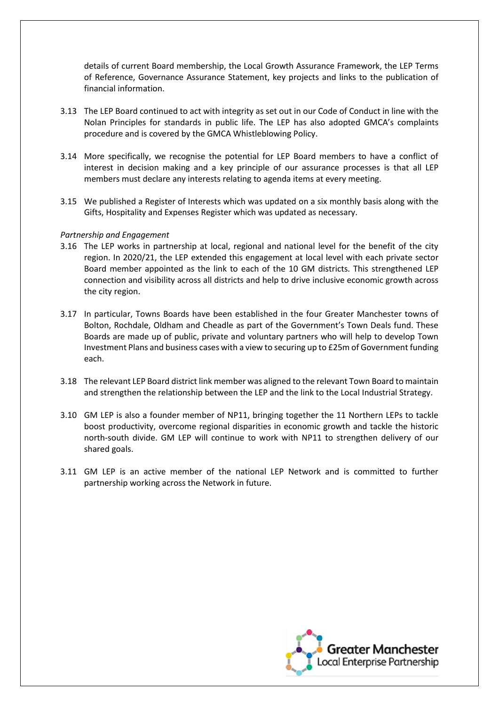details of current Board membership, the Local Growth Assurance Framework, the LEP Terms of Reference, Governance Assurance Statement, key projects and links to the publication of financial information.

- 3.13 The LEP Board continued to act with integrity as set out in our Code of Conduct in line with the Nolan Principles for standards in public life. The LEP has also adopted GMCA's complaints procedure and is covered by the GMCA Whistleblowing Policy.
- 3.14 More specifically, we recognise the potential for LEP Board members to have a conflict of interest in decision making and a key principle of our assurance processes is that all LEP members must declare any interests relating to agenda items at every meeting.
- 3.15 We published a Register of Interests which was updated on a six monthly basis along with the Gifts, Hospitality and Expenses Register which was updated as necessary.

#### *Partnership and Engagement*

- 3.16 The LEP works in partnership at local, regional and national level for the benefit of the city region. In 2020/21, the LEP extended this engagement at local level with each private sector Board member appointed as the link to each of the 10 GM districts. This strengthened LEP connection and visibility across all districts and help to drive inclusive economic growth across the city region.
- 3.17 In particular, Towns Boards have been established in the four Greater Manchester towns of Bolton, Rochdale, Oldham and Cheadle as part of the Government's Town Deals fund. These Boards are made up of public, private and voluntary partners who will help to develop Town Investment Plans and business cases with a view to securing up to £25m of Government funding each.
- 3.18 The relevant LEP Board district link member was aligned to the relevant Town Board to maintain and strengthen the relationship between the LEP and the link to the Local Industrial Strategy.
- 3.10 GM LEP is also a founder member of NP11, bringing together the 11 Northern LEPs to tackle boost productivity, overcome regional disparities in economic growth and tackle the historic north-south divide. GM LEP will continue to work with NP11 to strengthen delivery of our shared goals.
- 3.11 GM LEP is an active member of the national LEP Network and is committed to further partnership working across the Network in future.

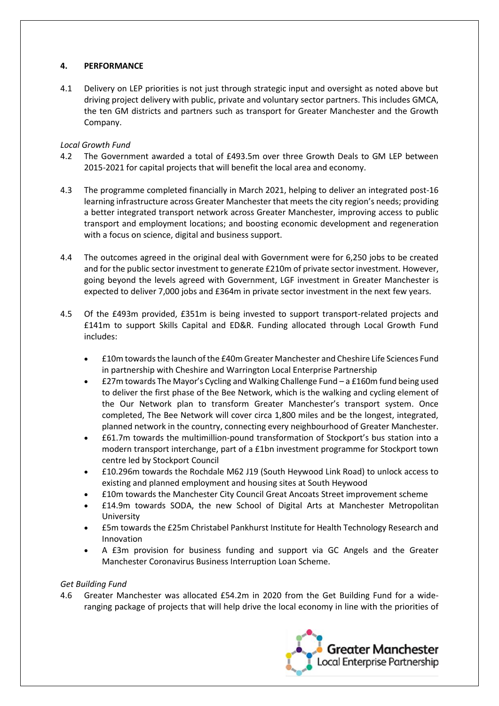## **4. PERFORMANCE**

4.1 Delivery on LEP priorities is not just through strategic input and oversight as noted above but driving project delivery with public, private and voluntary sector partners. This includes GMCA, the ten GM districts and partners such as transport for Greater Manchester and the Growth Company.

# *Local Growth Fund*

- 4.2 The Government awarded a total of £493.5m over three Growth Deals to GM LEP between 2015-2021 for capital projects that will benefit the local area and economy.
- 4.3 The programme completed financially in March 2021, helping to deliver an integrated post-16 learning infrastructure across Greater Manchester that meets the city region's needs; providing a better integrated transport network across Greater Manchester, improving access to public transport and employment locations; and boosting economic development and regeneration with a focus on science, digital and business support.
- 4.4 The outcomes agreed in the original deal with Government were for 6,250 jobs to be created and for the public sector investment to generate £210m of private sector investment. However, going beyond the levels agreed with Government, LGF investment in Greater Manchester is expected to deliver 7,000 jobs and £364m in private sector investment in the next few years.
- 4.5 Of the £493m provided, £351m is being invested to support transport-related projects and £141m to support Skills Capital and ED&R. Funding allocated through Local Growth Fund includes:
	- £10m towards the launch of the £40m Greater Manchester and Cheshire Life Sciences Fund in partnership with Cheshire and Warrington Local Enterprise Partnership
	- £27m towards The Mayor's Cycling and Walking Challenge Fund a £160m fund being used to deliver the first phase of the Bee Network, which is the walking and cycling element of the Our Network plan to transform Greater Manchester's transport system. Once completed, The Bee Network will cover circa 1,800 miles and be the longest, integrated, planned network in the country, connecting every neighbourhood of Greater Manchester.
	- £61.7m towards the multimillion-pound transformation of Stockport's bus station into a modern transport interchange, part of a £1bn investment programme for Stockport town centre led by Stockport Council
	- £10.296m towards the Rochdale M62 J19 (South Heywood Link Road) to unlock access to existing and planned employment and housing sites at South Heywood
	- £10m towards the Manchester City Council Great Ancoats Street improvement scheme
	- £14.9m towards SODA, the new School of Digital Arts at Manchester Metropolitan University
	- £5m towards the £25m Christabel Pankhurst Institute for Health Technology Research and Innovation
	- A £3m provision for business funding and support via GC Angels and the Greater Manchester Coronavirus Business Interruption Loan Scheme.

## *Get Building Fund*

4.6 Greater Manchester was allocated £54.2m in 2020 from the Get Building Fund for a wideranging package of projects that will help drive the local economy in line with the priorities of

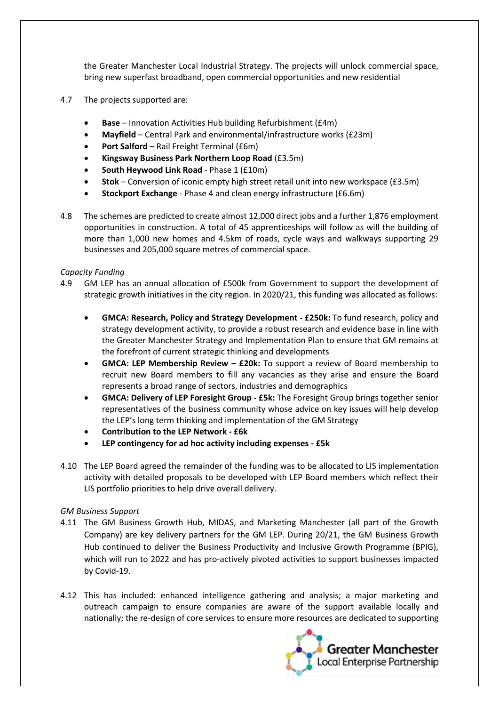the Greater Manchester Local Industrial Strategy. The projects will unlock commercial space, bring new superfast broadband, open commercial opportunities and new residential

- 4.7 The projects supported are:
	- **Base**  Innovation Activities Hub building Refurbishment (£4m)
	- **Mayfield**  Central Park and environmental/infrastructure works (£23m)
	- **Port Salford** Rail Freight Terminal (£6m)
	- **Kingsway Business Park Northern Loop Road** (£3.5m)
	- **South Heywood Link Road** Phase 1 (£10m)
	- **Stok** Conversion of iconic empty high street retail unit into new workspace (£3.5m)
	- **Stockport Exchange** Phase 4 and clean energy infrastructure (£6.6m)
- 4.8 The schemes are predicted to create almost 12,000 direct jobs and a further 1,876 employment opportunities in construction. A total of 45 apprenticeships will follow as will the building of more than 1,000 new homes and 4.5km of roads, cycle ways and walkways supporting 29 businesses and 205,000 square metres of commercial space.

#### *Capacity Funding*

- 4.9 GM LEP has an annual allocation of £500k from Government to support the development of strategic growth initiatives in the city region. In 2020/21, this funding was allocated as follows:
	- **GMCA: Research, Policy and Strategy Development - £250k:** To fund research, policy and strategy development activity, to provide a robust research and evidence base in line with the Greater Manchester Strategy and Implementation Plan to ensure that GM remains at the forefront of current strategic thinking and developments
	- **GMCA: LEP Membership Review – £20k:** To support a review of Board membership to recruit new Board members to fill any vacancies as they arise and ensure the Board represents a broad range of sectors, industries and demographics
	- **GMCA: Delivery of LEP Foresight Group - £5k:** The Foresight Group brings together senior representatives of the business community whose advice on key issues will help develop the LEP's long term thinking and implementation of the GM Strategy
	- **Contribution to the LEP Network - £6k**
	- **LEP contingency for ad hoc activity including expenses - £5k**
- 4.10 The LEP Board agreed the remainder of the funding was to be allocated to LIS implementation activity with detailed proposals to be developed with LEP Board members which reflect their LIS portfolio priorities to help drive overall delivery.

#### *GM Business Support*

- 4.11 The GM Business Growth Hub, MIDAS, and Marketing Manchester (all part of the Growth Company) are key delivery partners for the GM LEP. During 20/21, the GM Business Growth Hub continued to deliver the Business Productivity and Inclusive Growth Programme (BPIG), which will run to 2022 and has pro-actively pivoted activities to support businesses impacted by Covid-19.
- 4.12 This has included: enhanced intelligence gathering and analysis; a major marketing and outreach campaign to ensure companies are aware of the support available locally and nationally; the re-design of core services to ensure more resources are dedicated to supporting